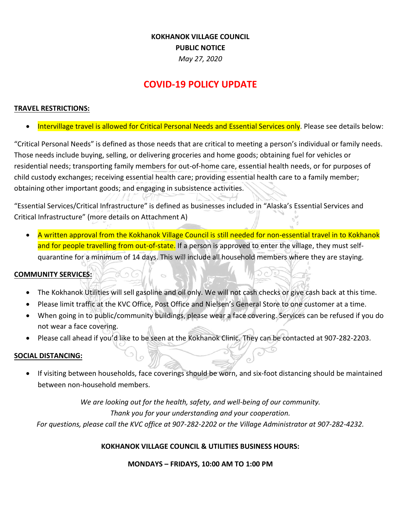## **KOKHANOK VILLAGE COUNCIL PUBLIC NOTICE** *May 27, 2020*

# **COVID-19 POLICY UPDATE**

## **TRAVEL RESTRICTIONS:**

Intervillage travel is allowed for Critical Personal Needs and Essential Services only. Please see details below:

"Critical Personal Needs" is defined as those needs that are critical to meeting a person's individual or family needs. Those needs include buying, selling, or delivering groceries and home goods; obtaining fuel for vehicles or residential needs; transporting family members for out-of-home care, essential health needs, or for purposes of child custody exchanges; receiving essential health care; providing essential health care to a family member; obtaining other important goods; and engaging in subsistence activities.

"Essential Services/Critical Infrastructure" is defined as businesses included in "Alaska's Essential Services and Critical Infrastructure" (more details on Attachment A)

• A written approval from the Kokhanok Village Council is still needed for non-essential travel in to Kokhanok and for people travelling from out-of-state. If a person is approved to enter the village, they must selfquarantine for a minimum of 14 days. This will include all household members where they are staying.

#### **COMMUNITY SERVICES:**

- The Kokhanok Utilities will sell gasoline and oil only. We will not cash checks or give cash back at this time.
- Please limit traffic at the KVC Office, Post Office and Nielsen's General Store to one customer at a time.
- When going in to public/community buildings, please wear a face covering. Services can be refused if you do not wear a face covering.
- Please call ahead if you'd like to be seen at the Kokhanok Clinic. They can be contacted at 907-282-2203.

#### **SOCIAL DISTANCING:**

• If visiting between households, face coverings should be worn, and six-foot distancing should be maintained between non-household members.

 $\circ$ 

*We are looking out for the health, safety, and well-being of our community. Thank you for your understanding and your cooperation. For questions, please call the KVC office at 907-282-2202 or the Village Administrator at 907-282-4232.*

## **KOKHANOK VILLAGE COUNCIL & UTILITIES BUSINESS HOURS:**

**MONDAYS – FRIDAYS, 10:00 AM TO 1:00 PM**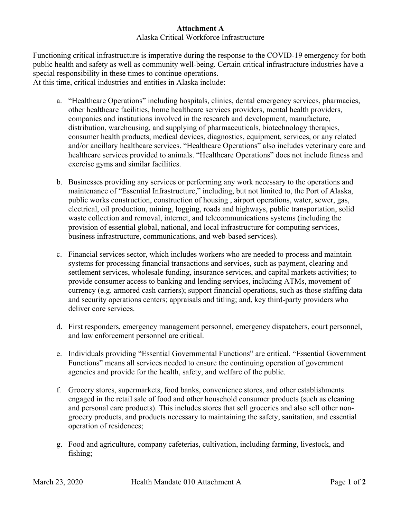## **Attachment A**

## Alaska Critical Workforce Infrastructure

Functioning critical infrastructure is imperative during the response to the COVID-19 emergency for both public health and safety as well as community well-being. Certain critical infrastructure industries have a special responsibility in these times to continue operations. At this time, critical industries and entities in Alaska include:

- a. "Healthcare Operations" including hospitals, clinics, dental emergency services, pharmacies, other healthcare facilities, home healthcare services providers, mental health providers, companies and institutions involved in the research and development, manufacture, distribution, warehousing, and supplying of pharmaceuticals, biotechnology therapies, consumer health products, medical devices, diagnostics, equipment, services, or any related and/or ancillary healthcare services. "Healthcare Operations" also includes veterinary care and healthcare services provided to animals. "Healthcare Operations" does not include fitness and exercise gyms and similar facilities.
- b. Businesses providing any services or performing any work necessary to the operations and maintenance of "Essential Infrastructure," including, but not limited to, the Port of Alaska, public works construction, construction of housing , airport operations, water, sewer, gas, electrical, oil production, mining, logging, roads and highways, public transportation, solid waste collection and removal, internet, and telecommunications systems (including the provision of essential global, national, and local infrastructure for computing services, business infrastructure, communications, and web-based services).
- c. Financial services sector, which includes workers who are needed to process and maintain systems for processing financial transactions and services, such as payment, clearing and settlement services, wholesale funding, insurance services, and capital markets activities; to provide consumer access to banking and lending services, including ATMs, movement of currency (e.g. armored cash carriers); support financial operations, such as those staffing data and security operations centers; appraisals and titling; and, key third-party providers who deliver core services.
- d. First responders, emergency management personnel, emergency dispatchers, court personnel, and law enforcement personnel are critical.
- e. Individuals providing "Essential Governmental Functions" are critical. "Essential Government Functions" means all services needed to ensure the continuing operation of government agencies and provide for the health, safety, and welfare of the public.
- f. Grocery stores, supermarkets, food banks, convenience stores, and other establishments engaged in the retail sale of food and other household consumer products (such as cleaning and personal care products). This includes stores that sell groceries and also sell other nongrocery products, and products necessary to maintaining the safety, sanitation, and essential operation of residences;
- g. Food and agriculture, company cafeterias, cultivation, including farming, livestock, and fishing;